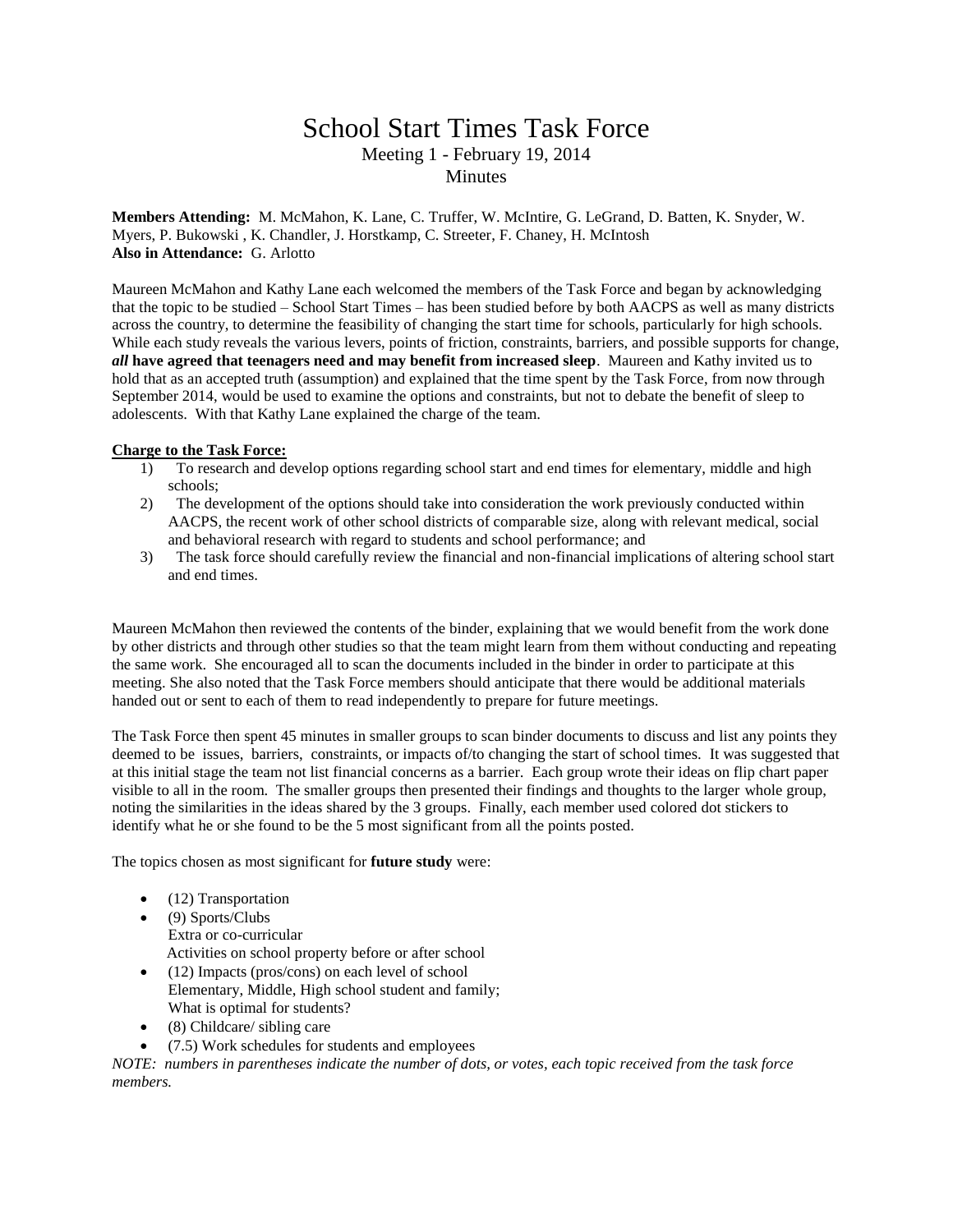## School Start Times Task Force Meeting 1 - February 19, 2014 **Minutes**

**Members Attending:** M. McMahon, K. Lane, C. Truffer, W. McIntire, G. LeGrand, D. Batten, K. Snyder, W. Myers, P. Bukowski , K. Chandler, J. Horstkamp, C. Streeter, F. Chaney, H. McIntosh **Also in Attendance:** G. Arlotto

Maureen McMahon and Kathy Lane each welcomed the members of the Task Force and began by acknowledging that the topic to be studied – School Start Times – has been studied before by both AACPS as well as many districts across the country, to determine the feasibility of changing the start time for schools, particularly for high schools. While each study reveals the various levers, points of friction, constraints, barriers, and possible supports for change, *all* **have agreed that teenagers need and may benefit from increased sleep**. Maureen and Kathy invited us to hold that as an accepted truth (assumption) and explained that the time spent by the Task Force, from now through September 2014, would be used to examine the options and constraints, but not to debate the benefit of sleep to adolescents. With that Kathy Lane explained the charge of the team.

## **Charge to the Task Force:**

- 1) To research and develop options regarding school start and end times for elementary, middle and high schools;
- 2) The development of the options should take into consideration the work previously conducted within AACPS, the recent work of other school districts of comparable size, along with relevant medical, social and behavioral research with regard to students and school performance; and
- 3) The task force should carefully review the financial and non-financial implications of altering school start and end times.

Maureen McMahon then reviewed the contents of the binder, explaining that we would benefit from the work done by other districts and through other studies so that the team might learn from them without conducting and repeating the same work. She encouraged all to scan the documents included in the binder in order to participate at this meeting. She also noted that the Task Force members should anticipate that there would be additional materials handed out or sent to each of them to read independently to prepare for future meetings.

The Task Force then spent 45 minutes in smaller groups to scan binder documents to discuss and list any points they deemed to be issues, barriers, constraints, or impacts of/to changing the start of school times. It was suggested that at this initial stage the team not list financial concerns as a barrier. Each group wrote their ideas on flip chart paper visible to all in the room. The smaller groups then presented their findings and thoughts to the larger whole group, noting the similarities in the ideas shared by the 3 groups. Finally, each member used colored dot stickers to identify what he or she found to be the 5 most significant from all the points posted.

The topics chosen as most significant for **future study** were:

- $\bullet$  (12) Transportation
- $\bullet$  (9) Sports/Clubs Extra or co-curricular Activities on school property before or after school
- (12) Impacts (pros/cons) on each level of school Elementary, Middle, High school student and family; What is optimal for students?
- (8) Childcare/ sibling care
- (7.5) Work schedules for students and employees

*NOTE: numbers in parentheses indicate the number of dots, or votes, each topic received from the task force members.*